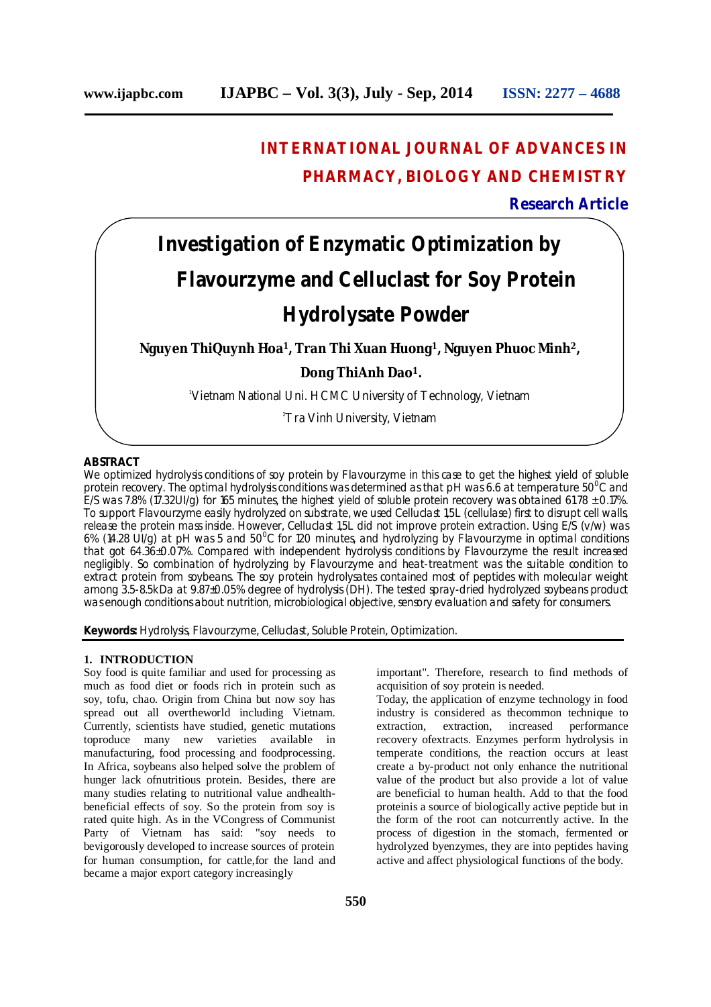## **INTERNATIONAL JOURNAL OF ADVANCES IN PHARMACY, BIOLOGY AND CHEMISTRY**

### **Research Article**

# **Investigation of Enzymatic Optimization by Flavourzyme and Celluclast for Soy Protein Hydrolysate Powder**

**Nguyen ThiQuynh Hoa1, Tran Thi Xuan Huong1, Nguyen Phuoc Minh2, Dong ThiAnh Dao<sup>1</sup>.**

<sup>1</sup>Vietnam National Uni. HCMC University of Technology, Vietnam

<sup>2</sup>Tra Vinh University, Vietnam

#### **ABSTRACT**

We optimized hydrolysis conditions of soy protein by Flavourzyme in this case to get the highest yield of soluble protein recovery. The optimal hydrolysis conditions was determined as that pH was 6.6 at temperature 50<sup>o</sup>C and E/S was 7.8% (17.32UI/q) for 165 minutes, the highest yield of soluble protein recovery was obtained 61.78  $\pm$  0.17%. To support Flavourzyme easily hydrolyzed on substrate, we used Celluclast 1,5L (cellulase) first to disrupt cell walls, release the protein mass inside. However, Celluclast 1,5L did not improve protein extraction. Using E/S (v/w) was 6% (14.28 UI/g) at pH was 5 and 50 $^{\circ}$ C for 120 minutes, and hydrolyzing by Flavourzyme in optimal conditions that got 64.36±0.07%. Compared with independent hydrolysis conditions by Flavourzyme the result increased negligibly. So combination of hydrolyzing by Flavourzyme and heat-treatment was the suitable condition to extract protein from soybeans. The soy protein hydrolysates contained most of peptides with molecular weight among 3.5-8.5kDa at 9.87±0.05% degree of hydrolysis (DH). The tested spray-dried hydrolyzed soybeans product was enough conditions about nutrition, microbiological objective, sensory evaluation and safety for consumers.

**Keywords:** Hydrolysis, Flavourzyme, Celluclast, Soluble Protein, Optimization.

#### **1. INTRODUCTION**

Soy food is quite familiar and used for processing as much as food diet or foods rich in protein such as soy, tofu, chao. Origin from China but now soy has spread out all overtheworld including Vietnam. Currently, scientists have studied, genetic mutations toproduce many new varieties available in manufacturing, food processing and foodprocessing. In Africa, soybeans also helped solve the problem of hunger lack ofnutritious protein. Besides, there are many studies relating to nutritional value andhealthbeneficial effects of soy. So the protein from soy is rated quite high. As in the VCongress of Communist Party of Vietnam has said: "soy needs to bevigorously developed to increase sources of protein for human consumption, for cattle,for the land and became a major export category increasingly

important". Therefore, research to find methods of acquisition of soy protein is needed.

Today, the application of enzyme technology in food industry is considered as the<br>common technique to extraction, extraction, increased performance extraction, increased recovery ofextracts. Enzymes perform hydrolysis in temperate conditions, the reaction occurs at least create a by-product not only enhance the nutritional value of the product but also provide a lot of value are beneficial to human health. Add to that the food proteinis a source of biologically active peptide but in the form of the root can notcurrently active. In the process of digestion in the stomach, fermented or hydrolyzed byenzymes, they are into peptides having active and affect physiological functions of the body.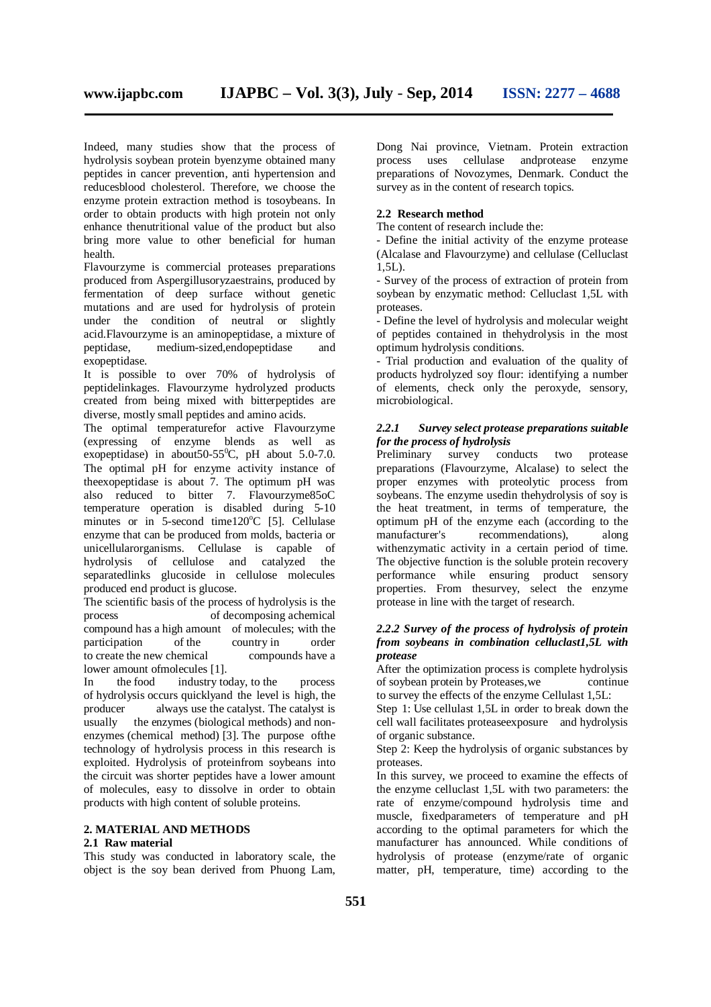Indeed, many studies show that the process of hydrolysis soybean protein byenzyme obtained many peptides in cancer prevention, anti hypertension and reducesblood cholesterol. Therefore, we choose the enzyme protein extraction method is tosoybeans. In order to obtain products with high protein not only enhance thenutritional value of the product but also bring more value to other beneficial for human health.

Flavourzyme is commercial proteases preparations produced from Aspergillusoryzaestrains, produced by fermentation of deep surface without genetic mutations and are used for hydrolysis of protein under the condition of neutral or slightly acid.Flavourzyme is an aminopeptidase, a mixture of peptidase, medium-sized,endopeptidase and exopeptidase.

It is possible to over 70% of hydrolysis of peptidelinkages. Flavourzyme hydrolyzed products created from being mixed with bitterpeptides are diverse, mostly small peptides and amino acids.

The optimal temperaturefor active Flavourzyme (expressing of enzyme blends as well as exopeptidase) in about  $5.0$ -7.0. The optimal pH for enzyme activity instance of theexopeptidase is about 7. The optimum pH was also reduced to bitter 7. Flavourzyme85oC temperature operation is disabled during 5-10 minutes or in 5-second time120°C [5]. Cellulase enzyme that can be produced from molds, bacteria or unicellularorganisms. Cellulase is capable of hydrolysis of cellulose and catalyzed the separatedlinks glucoside in cellulose molecules produced end product is glucose.

The scientific basis of the process of hydrolysis is the process of decomposing achemical compound has a high amount of molecules; with the participation of the country in order to create the new chemical compounds have a lower amount ofmolecules [1].

In the food industry today, to the process of hydrolysis occurs quicklyand the level is high, the producer always use the catalyst. The catalyst is usually the enzymes (biological methods) and nonenzymes (chemical method) [3]. The purpose ofthe technology of hydrolysis process in this research is exploited. Hydrolysis of proteinfrom soybeans into the circuit was shorter peptides have a lower amount of molecules, easy to dissolve in order to obtain products with high content of soluble proteins.

#### **2. MATERIAL AND METHODS**

#### **2.1 Raw material**

This study was conducted in laboratory scale, the object is the soy bean derived from Phuong Lam,

Dong Nai province, Vietnam. Protein extraction process uses cellulase andprotease enzyme preparations of Novozymes, Denmark. Conduct the survey as in the content of research topics.

#### **2.2 Research method**

The content of research include the:

- Define the initial activity of the enzyme protease (Alcalase and Flavourzyme) and cellulase (Celluclast 1,5L).

- Survey of the process of extraction of protein from soybean by enzymatic method: Celluclast 1,5L with proteases.

- Define the level of hydrolysis and molecular weight of peptides contained in thehydrolysis in the most optimum hydrolysis conditions.

- Trial production and evaluation of the quality of products hydrolyzed soy flour: identifying a number of elements, check only the peroxyde, sensory, microbiological.

#### *2.2.1 Survey select protease preparations suitable for the process of hydrolysis*

Preliminary survey conducts two protease preparations (Flavourzyme, Alcalase) to select the proper enzymes with proteolytic process from soybeans. The enzyme usedin thehydrolysis of soy is the heat treatment, in terms of temperature, the optimum pH of the enzyme each (according to the manufacturer's recommendations), along withenzymatic activity in a certain period of time. The objective function is the soluble protein recovery performance while ensuring product sensory properties. From thesurvey, select the enzyme protease in line with the target of research.

#### *2.2.2 Survey of the process of hydrolysis of protein from soybeans in combination celluclast1,5L with protease*

After the optimization process is complete hydrolysis of soybean protein by Proteases, we continue to survey the effects of the enzyme Cellulast 1,5L:

Step 1: Use cellulast 1,5L in order to break down the cell wall facilitates proteaseexposure and hydrolysis of organic substance.

Step 2: Keep the hydrolysis of organic substances by proteases.

In this survey, we proceed to examine the effects of the enzyme celluclast 1,5L with two parameters: the rate of enzyme/compound hydrolysis time and muscle, fixedparameters of temperature and pH according to the optimal parameters for which the manufacturer has announced. While conditions of hydrolysis of protease (enzyme/rate of organic matter, pH, temperature, time) according to the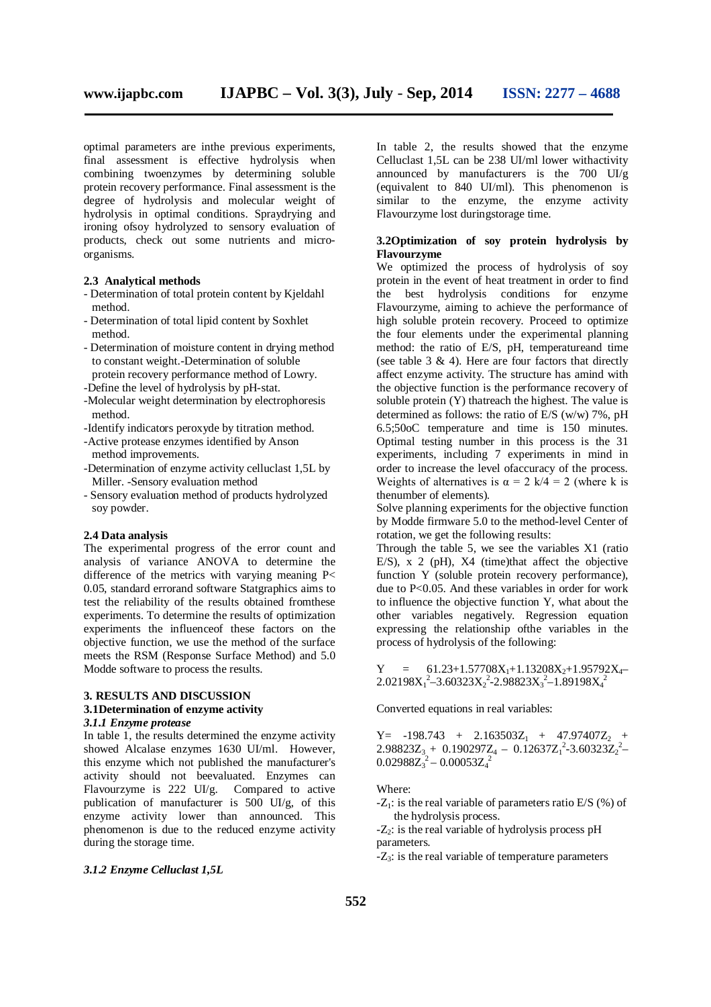optimal parameters are inthe previous experiments, final assessment is effective hydrolysis when combining twoenzymes by determining soluble protein recovery performance. Final assessment is the degree of hydrolysis and molecular weight of hydrolysis in optimal conditions. Spraydrying and ironing ofsoy hydrolyzed to sensory evaluation of products, check out some nutrients and microorganisms.

#### **2.3 Analytical methods**

- Determination of total protein content by Kjeldahl method.
- Determination of total lipid content by Soxhlet method.
- Determination of moisture content in drying method to constant weight.-Determination of soluble protein recovery performance method of Lowry.
- -Define the level of hydrolysis by pH-stat.
- -Molecular weight determination by electrophoresis method.
- -Identify indicators peroxyde by titration method.
- -Active protease enzymes identified by Anson method improvements.
- -Determination of enzyme activity celluclast 1,5L by Miller. -Sensory evaluation method
- Sensory evaluation method of products hydrolyzed soy powder.

#### **2.4 Data analysis**

The experimental progress of the error count and analysis of variance ANOVA to determine the difference of the metrics with varying meaning P< 0.05, standard errorand software Statgraphics aims to test the reliability of the results obtained fromthese experiments. To determine the results of optimization experiments the influenceof these factors on the objective function, we use the method of the surface meets the RSM (Response Surface Method) and 5.0 Modde software to process the results.

#### **3. RESULTS AND DISCUSSION 3.1Determination of enzyme activity**

#### *3.1.1 Enzyme protease*

In table 1, the results determined the enzyme activity showed Alcalase enzymes 1630 UI/ml. However, this enzyme which not published the manufacturer's activity should not beevaluated. Enzymes can Flavourzyme is 222 UI/g. Compared to active publication of manufacturer is 500 UI/g, of this enzyme activity lower than announced. This phenomenon is due to the reduced enzyme activity during the storage time.

#### *3.1.2 Enzyme Celluclast 1,5L*

In table 2, the results showed that the enzyme Celluclast 1,5L can be 238 UI/ml lower withactivity announced by manufacturers is the 700 UI/g (equivalent to 840 UI/ml). This phenomenon is similar to the enzyme, the enzyme activity Flavourzyme lost duringstorage time.

#### **3.2Optimization of soy protein hydrolysis by Flavourzyme**

We optimized the process of hydrolysis of soy protein in the event of heat treatment in order to find the best hydrolysis conditions for enzyme Flavourzyme, aiming to achieve the performance of high soluble protein recovery. Proceed to optimize the four elements under the experimental planning method: the ratio of E/S, pH, temperatureand time (see table  $3 \& 4$ ). Here are four factors that directly affect enzyme activity. The structure has amind with the objective function is the performance recovery of soluble protein (Y) thatreach the highest. The value is determined as follows: the ratio of E/S (w/w) 7%, pH 6.5;50oC temperature and time is 150 minutes. Optimal testing number in this process is the 31 experiments, including 7 experiments in mind in order to increase the level ofaccuracy of the process. Weights of alternatives is  $\alpha = 2$  k/4 = 2 (where k is thenumber of elements).

Solve planning experiments for the objective function by Modde firmware 5.0 to the method-level Center of rotation, we get the following results:

Through the table 5, we see the variables X1 (ratio E/S), x 2 (pH), X4 (time)that affect the objective function Y (soluble protein recovery performance), due to P<0.05. And these variables in order for work to influence the objective function Y, what about the other variables negatively. Regression equation expressing the relationship ofthe variables in the process of hydrolysis of the following:

 $Y = 61.23+1.57708X_1+1.13208X_2+1.95792X_4 2.02198X_1^2 - 3.60323X_2^2 - 2.98823X_3^2 - 1.89198X_4^2$ 

Converted equations in real variables:

 $Y= -198.743 + 2.163503Z_1 + 47.97407Z_2 +$  $2.98823Z_3 + 0.190297Z_4 - 0.12637Z_1^2 - 3.60323Z_2^2 0.02988Z_3^2 - 0.00053Z_4^2$ 

Where:

 $-Z_1$ : is the real variable of parameters ratio E/S (%) of the hydrolysis process.

 $-Z_2$ : is the real variable of hydrolysis process pH parameters.

 $-Z_3$ : is the real variable of temperature parameters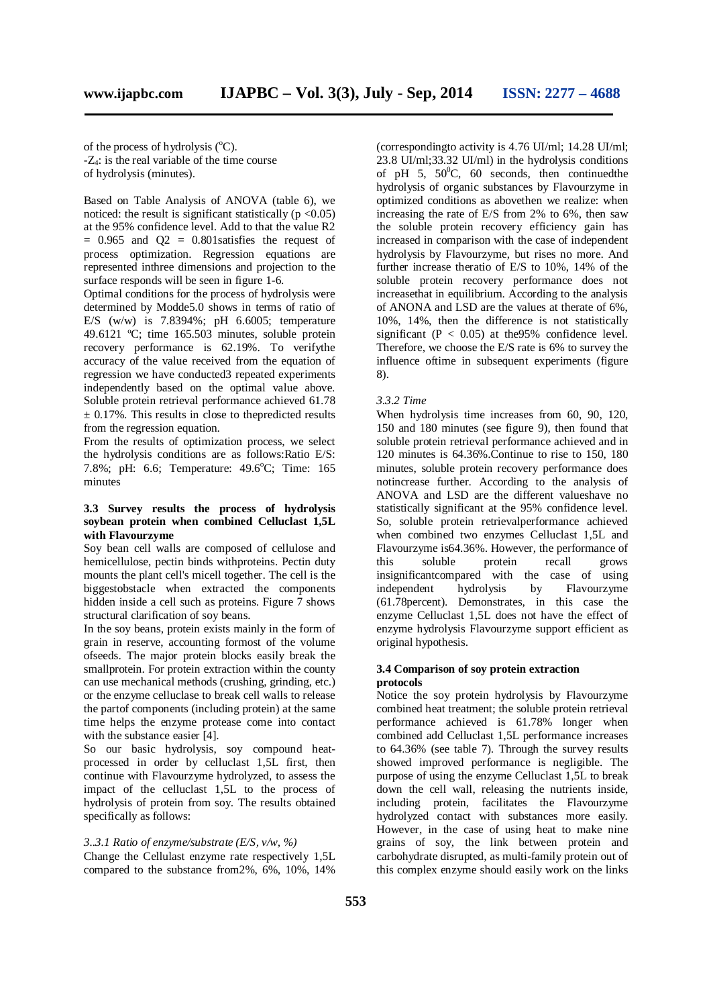of the process of hydrolysis (°C).  $-Z_4$ : is the real variable of the time course of hydrolysis (minutes).

Based on Table Analysis of ANOVA (table 6), we noticed: the result is significant statistically ( $p < 0.05$ ) at the 95% confidence level. Add to that the value R2  $= 0.965$  and  $Q2 = 0.801$  satisfies the request of process optimization. Regression equations are represented inthree dimensions and projection to the surface responds will be seen in figure 1-6.

Optimal conditions for the process of hydrolysis were determined by Modde5.0 shows in terms of ratio of E/S  $(w/w)$  is 7.8394%; pH 6.6005; temperature 49.6121 ºC; time 165.503 minutes, soluble protein recovery performance is 62.19%. To verifythe accuracy of the value received from the equation of regression we have conducted3 repeated experiments independently based on the optimal value above. Soluble protein retrieval performance achieved 61.78  $\pm$  0.17%. This results in close to the predicted results from the regression equation.

From the results of optimization process, we select the hydrolysis conditions are as follows:Ratio E/S: 7.8%; pH: 6.6; Temperature: 49.6°C; Time: 165 minutes

#### **3.3 Survey results the process of hydrolysis soybean protein when combined Celluclast 1,5L with Flavourzyme**

Soy bean cell walls are composed of cellulose and hemicellulose, pectin binds withproteins. Pectin duty mounts the plant cell's micell together. The cell is the biggestobstacle when extracted the components hidden inside a cell such as proteins. Figure  $\overline{7}$  shows structural clarification of soy beans.

In the soy beans, protein exists mainly in the form of grain in reserve, accounting formost of the volume ofseeds. The major protein blocks easily break the smallprotein. For protein extraction within the county can use mechanical methods (crushing, grinding, etc.) or the enzyme celluclase to break cell walls to release the partof components (including protein) at the same time helps the enzyme protease come into contact with the substance easier [4].

So our basic hydrolysis, soy compound heatprocessed in order by celluclast 1,5L first, then continue with Flavourzyme hydrolyzed, to assess the impact of the celluclast 1,5L to the process of hydrolysis of protein from soy. The results obtained specifically as follows:

#### *3..3.1 Ratio of enzyme/substrate (E/S, v/w, %)*

Change the Cellulast enzyme rate respectively 1,5L compared to the substance from2%, 6%, 10%, 14%

(correspondingto activity is 4.76 UI/ml; 14.28 UI/ml; 23.8 UI/ml;33.32 UI/ml) in the hydrolysis conditions of pH 5,  $50^{\circ}$ C, 60 seconds, then continued the hydrolysis of organic substances by Flavourzyme in optimized conditions as abovethen we realize: when increasing the rate of E/S from 2% to 6%, then saw the soluble protein recovery efficiency gain has increased in comparison with the case of independent hydrolysis by Flavourzyme, but rises no more. And further increase theratio of E/S to 10%, 14% of the soluble protein recovery performance does not increasethat in equilibrium. According to the analysis of ANONA and LSD are the values at therate of 6%, 10%, 14%, then the difference is not statistically significant ( $P < 0.05$ ) at the 95% confidence level. Therefore, we choose the E/S rate is 6% to survey the influence oftime in subsequent experiments (figure 8).

#### *3.3.2 Time*

When hydrolysis time increases from 60, 90, 120, 150 and 180 minutes (see figure 9), then found that soluble protein retrieval performance achieved and in 120 minutes is 64.36%.Continue to rise to 150, 180 minutes, soluble protein recovery performance does notincrease further. According to the analysis of ANOVA and LSD are the different valueshave no statistically significant at the 95% confidence level. So, soluble protein retrievalperformance achieved when combined two enzymes Celluclast 1,5L and Flavourzyme is64.36%. However, the performance of this soluble protein recall grows insignificantcompared with the case of using independent hydrolysis by Flavourzyme (61.78percent). Demonstrates, in this case the enzyme Celluclast 1,5L does not have the effect of enzyme hydrolysis Flavourzyme support efficient as original hypothesis.

#### **3.4 Comparison of soy protein extraction protocols**

Notice the soy protein hydrolysis by Flavourzyme combined heat treatment; the soluble protein retrieval performance achieved is 61.78% longer when combined add Celluclast 1,5L performance increases to 64.36% (see table 7). Through the survey results showed improved performance is negligible. The purpose of using the enzyme Celluclast 1,5L to break down the cell wall, releasing the nutrients inside, including protein, facilitates the Flavourzyme hydrolyzed contact with substances more easily. However, in the case of using heat to make nine grains of soy, the link between protein and carbohydrate disrupted, as multi-family protein out of this complex enzyme should easily work on the links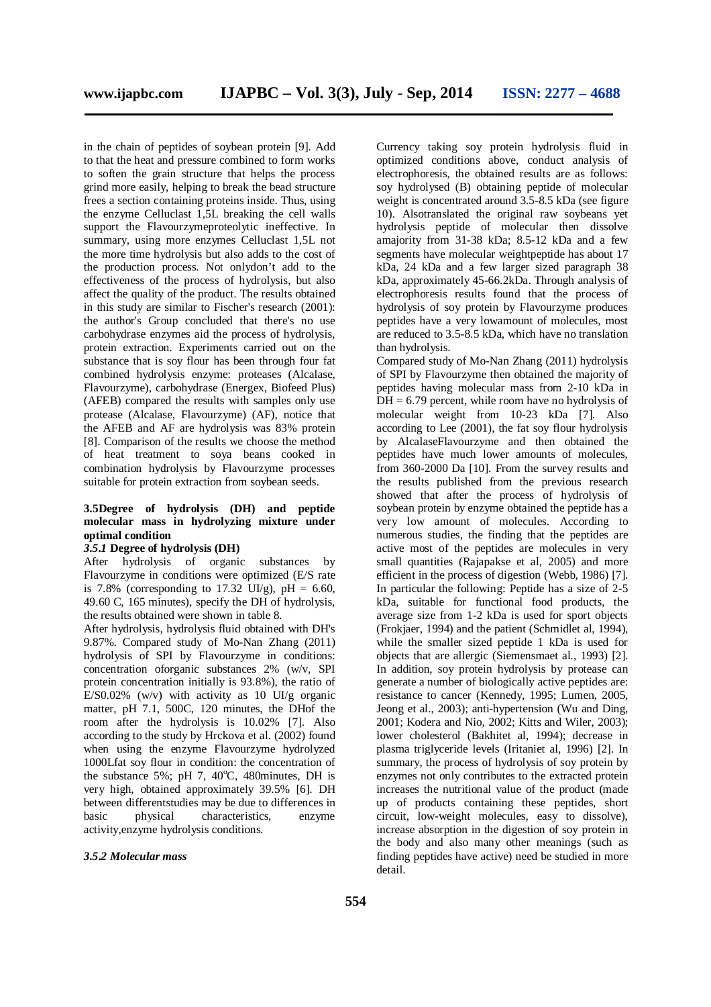in the chain of peptides of soybean protein [9]. Add to that the heat and pressure combined to form works to soften the grain structure that helps the process grind more easily, helping to break the bead structure frees a section containing proteins inside. Thus, using the enzyme Celluclast 1,5L breaking the cell walls support the Flavourzymeproteolytic ineffective. In summary, using more enzymes Celluclast 1,5L not the more time hydrolysis but also adds to the cost of the production process. Not onlydon't add to the effectiveness of the process of hydrolysis, but also affect the quality of the product. The results obtained in this study are similar to Fischer's research (2001): the author's Group concluded that there's no use carbohydrase enzymes aid the process of hydrolysis, protein extraction. Experiments carried out on the substance that is soy flour has been through four fat combined hydrolysis enzyme: proteases (Alcalase, Flavourzyme), carbohydrase (Energex, Biofeed Plus) (AFEB) compared the results with samples only use protease (Alcalase, Flavourzyme) (AF), notice that the AFEB and AF are hydrolysis was 83% protein [8]. Comparison of the results we choose the method of heat treatment to soya beans cooked in combination hydrolysis by Flavourzyme processes suitable for protein extraction from soybean seeds.

#### **3.5Degree of hydrolysis (DH) and peptide molecular mass in hydrolyzing mixture under optimal condition**

#### *3.5.1* **Degree of hydrolysis (DH)**

After hydrolysis of organic substances by Flavourzyme in conditions were optimized (E/S rate is 7.8% (corresponding to 17.32 UI/g),  $pH = 6.60$ , 49.60 C, 165 minutes), specify the DH of hydrolysis, the results obtained were shown in table 8.

After hydrolysis, hydrolysis fluid obtained with DH's 9.87%. Compared study of Mo-Nan Zhang (2011) hydrolysis of SPI by Flavourzyme in conditions: concentration oforganic substances 2% (w/v, SPI protein concentration initially is 93.8%), the ratio of E/S0.02% (w/v) with activity as 10  $UI/g$  organic matter, pH 7.1, 500C, 120 minutes, the DHof the room after the hydrolysis is 10.02% [7]. Also according to the study by Hrckova et al. (2002) found when using the enzyme Flavourzyme hydrolyzed 1000Lfat soy flour in condition: the concentration of the substance 5%; pH 7,  $40^{\circ}$ C, 480minutes, DH is very high, obtained approximately 39.5% [6]. DH between differentstudies may be due to differences in basic physical characteristics, enzyme activity,enzyme hydrolysis conditions.

#### *3.5.2 Molecular mass*

Currency taking soy protein hydrolysis fluid in optimized conditions above, conduct analysis of electrophoresis, the obtained results are as follows: soy hydrolysed (B) obtaining peptide of molecular weight is concentrated around 3.5-8.5 kDa (see figure 10). Alsotranslated the original raw soybeans yet hydrolysis peptide of molecular then dissolve amajority from 31-38 kDa; 8.5-12 kDa and a few segments have molecular weightpeptide has about 17 kDa, 24 kDa and a few larger sized paragraph 38 kDa, approximately 45-66.2kDa. Through analysis of electrophoresis results found that the process of hydrolysis of soy protein by Flavourzyme produces peptides have a very lowamount of molecules, most are reduced to 3.5-8.5 kDa, which have no translation than hydrolysis.

Compared study of Mo-Nan Zhang (2011) hydrolysis of SPI by Flavourzyme then obtained the majority of peptides having molecular mass from 2-10 kDa in  $DH = 6.79$  percent, while room have no hydrolysis of molecular weight from 10-23 kDa [7]. Also according to Lee (2001), the fat soy flour hydrolysis by AlcalaseFlavourzyme and then obtained the peptides have much lower amounts of molecules, from 360-2000 Da [10]. From the survey results and the results published from the previous research showed that after the process of hydrolysis of soybean protein by enzyme obtained the peptide has a very low amount of molecules. According to numerous studies, the finding that the peptides are active most of the peptides are molecules in very small quantities (Rajapakse et al, 2005) and more efficient in the process of digestion (Webb, 1986) [7]. In particular the following: Peptide has a size of 2-5 kDa, suitable for functional food products, the average size from 1-2 kDa is used for sport objects (Frokjaer, 1994) and the patient (Schmidlet al, 1994), while the smaller sized peptide 1 kDa is used for objects that are allergic (Siemensmaet al., 1993) [2]. In addition, soy protein hydrolysis by protease can generate a number of biologically active peptides are: resistance to cancer (Kennedy, 1995; Lumen, 2005, Jeong et al., 2003); anti-hypertension (Wu and Ding, 2001; Kodera and Nio, 2002; Kitts and Wiler, 2003); lower cholesterol (Bakhitet al, 1994); decrease in plasma triglyceride levels (Iritaniet al, 1996) [2]. In summary, the process of hydrolysis of soy protein by enzymes not only contributes to the extracted protein increases the nutritional value of the product (made up of products containing these peptides, short circuit, low-weight molecules, easy to dissolve), increase absorption in the digestion of soy protein in the body and also many other meanings (such as finding peptides have active) need be studied in more detail.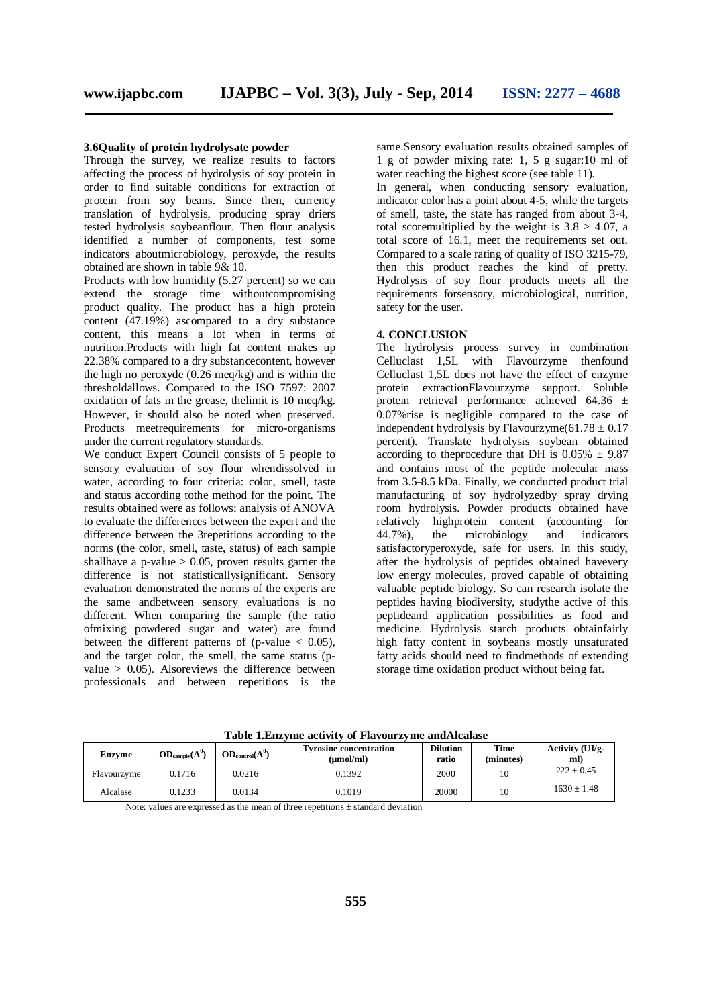#### **3.6Quality of protein hydrolysate powder**

Through the survey, we realize results to factors affecting the process of hydrolysis of soy protein in order to find suitable conditions for extraction of protein from soy beans. Since then, currency translation of hydrolysis, producing spray driers tested hydrolysis soybeanflour. Then flour analysis identified a number of components, test some indicators aboutmicrobiology, peroxyde, the results obtained are shown in table 9& 10.

Products with low humidity (5.27 percent) so we can extend the storage time withoutcompromising product quality. The product has a high protein content (47.19%) ascompared to a dry substance content, this means a lot when in terms of nutrition.Products with high fat content makes up 22.38% compared to a dry substancecontent, however the high no peroxyde  $(0.26 \text{ meg/kg})$  and is within the thresholdallows. Compared to the ISO 7597: 2007 oxidation of fats in the grease, thelimit is 10 meq/kg. However, it should also be noted when preserved. Products meetrequirements for micro-organisms under the current regulatory standards.

We conduct Expert Council consists of 5 people to sensory evaluation of soy flour whendissolved in water, according to four criteria: color, smell, taste and status according tothe method for the point. The results obtained were as follows: analysis of ANOVA to evaluate the differences between the expert and the difference between the 3repetitions according to the norms (the color, smell, taste, status) of each sample shallhave a p-value  $> 0.05$ , proven results garner the difference is not statisticallysignificant. Sensory evaluation demonstrated the norms of the experts are the same andbetween sensory evaluations is no different. When comparing the sample (the ratio ofmixing powdered sugar and water) are found between the different patterns of (p-value  $< 0.05$ ), and the target color, the smell, the same status (pvalue  $> 0.05$ ). Alsoreviews the difference between professionals and between repetitions is the

same.Sensory evaluation results obtained samples of 1 g of powder mixing rate: 1, 5 g sugar:10 ml of water reaching the highest score (see table 11).

In general, when conducting sensory evaluation, indicator color has a point about 4-5, while the targets of smell, taste, the state has ranged from about 3-4, total scoremultiplied by the weight is  $3.8 > 4.07$ , a total score of 16.1, meet the requirements set out. Compared to a scale rating of quality of ISO 3215-79, then this product reaches the kind of pretty. Hydrolysis of soy flour products meets all the requirements forsensory, microbiological, nutrition, safety for the user.

#### **4. CONCLUSION**

The hydrolysis process survey in combination Celluclast 1,5L with Flavourzyme thenfound Celluclast 1,5L does not have the effect of enzyme protein extractionFlavourzyme support. Soluble protein retrieval performance achieved  $64.36 \pm$ 0.07%rise is negligible compared to the case of independent hydrolysis by Flavourzyme $(61.78 \pm 0.17)$ percent). Translate hydrolysis soybean obtained according to the<br>procedure that DH is  $0.05\% \pm 9.87$ and contains most of the peptide molecular mass from 3.5-8.5 kDa. Finally, we conducted product trial manufacturing of soy hydrolyzedby spray drying room hydrolysis. Powder products obtained have relatively highprotein content (accounting for 44.7%), the microbiology and indicators satisfactoryperoxyde, safe for users. In this study, after the hydrolysis of peptides obtained havevery low energy molecules, proved capable of obtaining valuable peptide biology. So can research isolate the peptides having biodiversity, studythe active of this peptideand application possibilities as food and medicine. Hydrolysis starch products obtainfairly high fatty content in soybeans mostly unsaturated fatty acids should need to findmethods of extending storage time oxidation product without being fat.

| <b>Enzyme</b> | $OD_{sample}(A^0)$ | $OD_{control}(A^0)$ | <b>Tyrosine concentration</b><br>(umol/ml) | <b>Dilution</b><br>ratio | Time<br>(minutes) | Activity $(UI/2)$<br>ml) |
|---------------|--------------------|---------------------|--------------------------------------------|--------------------------|-------------------|--------------------------|
| Flavourzyme   | 0.1716             | 0.0216              | 0.1392                                     | 2000                     | 10                | $222 + 0.45$             |
| Alcalase      | 0.1233             | 0.0134              | 0.1019                                     | 20000                    | 10                | $1630 + 1.48$            |

**Table 1.Enzyme activity of Flavourzyme andAlcalase**

Note: values are expressed as the mean of three repetitions  $\pm$  standard deviation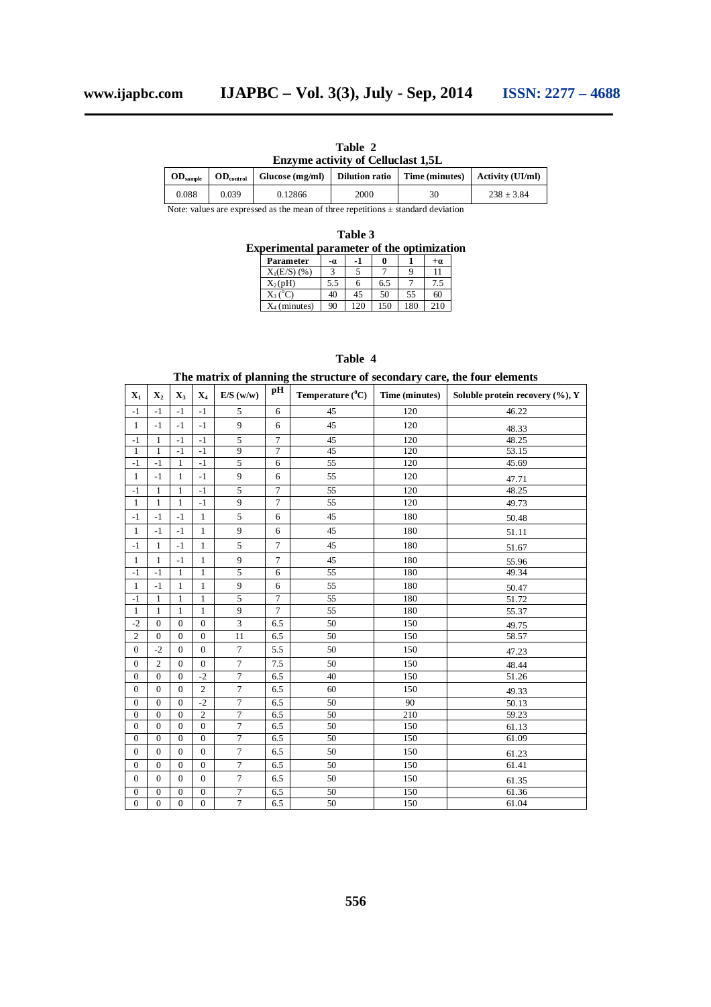|                                           | Table 2 |  |
|-------------------------------------------|---------|--|
| <b>Enzyme activity of Celluclast 1,5L</b> |         |  |
|                                           |         |  |

| $OD$ <sub>sample</sub> | $OD_{control}$ | Glucose (mg/ml) | Dilution ratio | $Time (minutes)$ $Activity (UI/ml)$ |              |
|------------------------|----------------|-----------------|----------------|-------------------------------------|--------------|
| 0.088                  | 0.039          | 0.12866         | 2000           | 30                                  | $238 + 3.84$ |
|                        |                |                 |                |                                     |              |

Note: values are expressed as the mean of three repetitions  $\pm$  standard deviation

| Table 3                                           |                  |     |     |     |     |      |  |  |
|---------------------------------------------------|------------------|-----|-----|-----|-----|------|--|--|
| <b>Experimental parameter of the optimization</b> |                  |     |     |     |     |      |  |  |
|                                                   | Parameter        | -0. | -1  |     |     | $+a$ |  |  |
|                                                   | $X_1(E/S)$ (%)   |     |     |     |     | 11   |  |  |
|                                                   | $X_2(pH)$        | 5.5 |     | 65  |     | 7.5  |  |  |
|                                                   | $X_3(^{\circ}C)$ | 40  | 45  | 50  | 55  | 60   |  |  |
|                                                   | $X_4$ (minutes)  | 90  | 120 | 150 | 180 | 210  |  |  |

#### **Table 4**

**The matrix of planning the structure of secondary care, the four elements**

| $\mathbf{X}_1$   | $\mathbf{X}_2$ | $X_3$          | $X_4$            | E/S(w/w)       | pН             | Temperature $(^0C)$ | Time (minutes) | Soluble protein recovery $(\%), Y$ |
|------------------|----------------|----------------|------------------|----------------|----------------|---------------------|----------------|------------------------------------|
| $-1$             | $-1$           | $-1$           | $-1$             | 5              | 6              | 45                  | 120            | 46.22                              |
| $\mathbf{1}$     | $-1$           | $-1$           | $-1$             | $\mathbf{Q}$   | 6              | 45                  | 120            | 48.33                              |
| $-1$             | 1              | $-1$           | $-1$             | $\overline{5}$ | $\overline{7}$ | 45                  | 120            | 48.25                              |
| $\mathbf{1}$     | $\mathbf{1}$   | $-1$           | $-1$             | $\overline{9}$ | $\overline{7}$ | 45                  | 120            | 53.15                              |
| $-1$             | $-1$           | $\mathbf{1}$   | $-1$             | $\overline{5}$ | 6              | 55                  | 120            | 45.69                              |
| $\mathbf{1}$     | $-1$           | $\mathbf{1}$   | $-1$             | 9              | 6              | 55                  | 120            | 47.71                              |
| $-1$             | 1              | $\mathbf{1}$   | $-1$             | $\overline{5}$ | $\overline{7}$ | 55                  | 120            | 48.25                              |
| $\mathbf{1}$     | $\mathbf{1}$   | $\mathbf{1}$   | $-1$             | 9              | $\overline{7}$ | 55                  | 120            | 49.73                              |
| $-1$             | $-1$           | $-1$           | $\mathbf{1}$     | 5              | 6              | 45                  | 180            | 50.48                              |
| $\mathbf{1}$     | $-1$           | $-1$           | $\mathbf{1}$     | 9              | 6              | 45                  | 180            | 51.11                              |
| $-1$             | $\mathbf{1}$   | $-1$           | $\mathbf{1}$     | 5              | $\overline{7}$ | 45                  | 180            | 51.67                              |
| $\mathbf{1}$     | $\mathbf{1}$   | $-1$           | $\mathbf{1}$     | 9              | $\overline{7}$ | 45                  | 180            | 55.96                              |
| $-1$             | $-1$           | $\mathbf{1}$   | $\mathbf{1}$     | 5              | 6              | $\overline{55}$     | 180            | 49.34                              |
| $\mathbf{1}$     | $-1$           | $\mathbf{1}$   | $\mathbf{1}$     | 9              | 6              | 55                  | 180            | 50.47                              |
| $-1$             | 1              | $\mathbf{1}$   | $\mathbf{1}$     | $\overline{5}$ | $\overline{7}$ | 55                  | 180            | 51.72                              |
| $\mathbf{1}$     | $\mathbf{1}$   | $\mathbf{1}$   | $\mathbf{1}$     | 9              | $\overline{7}$ | 55                  | 180            | 55.37                              |
| $-2$             | $\mathbf{0}$   | $\mathbf{0}$   | $\mathbf{0}$     | 3              | 6.5            | 50                  | 150            | 49.75                              |
| $\overline{c}$   | $\mathbf{0}$   | $\mathbf{0}$   | $\mathbf{0}$     | 11             | 6.5            | 50                  | 150            | 58.57                              |
| $\boldsymbol{0}$ | $-2$           | $\mathbf{0}$   | $\overline{0}$   | $\overline{7}$ | 5.5            | 50                  | 150            | 47.23                              |
| $\boldsymbol{0}$ | $\overline{2}$ | $\mathbf{0}$   | $\overline{0}$   | $\overline{7}$ | 7.5            | 50                  | 150            | 48.44                              |
| $\boldsymbol{0}$ | $\mathbf{0}$   | $\Omega$       | $-2$             | $\overline{7}$ | 6.5            | 40                  | 150            | 51.26                              |
| $\mathbf{0}$     | $\mathbf{0}$   | $\Omega$       | $\overline{c}$   | $\tau$         | 6.5            | 60                  | 150            | 49.33                              |
| $\mathbf{0}$     | $\mathbf{0}$   | $\mathbf{0}$   | $-2$             | $\overline{7}$ | 6.5            | 50                  | 90             | 50.13                              |
| $\mathbf{0}$     | $\mathbf{0}$   | $\Omega$       | $\overline{2}$   | $\overline{7}$ | 6.5            | 50                  | 210            | 59.23                              |
| $\boldsymbol{0}$ | $\Omega$       | $\theta$       | $\Omega$         | $\overline{7}$ | 6.5            | 50                  | 150            | 61.13                              |
| $\boldsymbol{0}$ | $\mathbf{0}$   | $\mathbf{0}$   | $\mathbf{0}$     | $\overline{7}$ | 6.5            | 50                  | 150            | 61.09                              |
| $\mathbf{0}$     | $\mathbf{0}$   | $\mathbf{0}$   | $\boldsymbol{0}$ | $\overline{7}$ | 6.5            | 50                  | 150            | 61.23                              |
| $\overline{0}$   | $\mathbf{0}$   | $\Omega$       | $\Omega$         | $\overline{7}$ | 6.5            | 50                  | 150            | 61.41                              |
| $\overline{0}$   | $\Omega$       | $\Omega$       | $\overline{0}$   | $\overline{7}$ | 6.5            | 50                  | 150            | 61.35                              |
| $\boldsymbol{0}$ | $\mathbf{0}$   | $\mathbf{0}$   | $\mathbf{0}$     | $\overline{7}$ | 6.5            | 50                  | 150            | 61.36                              |
| $\boldsymbol{0}$ | $\mathbf{0}$   | $\overline{0}$ | $\mathbf{0}$     | $\overline{7}$ | 6.5            | 50                  | 150            | 61.04                              |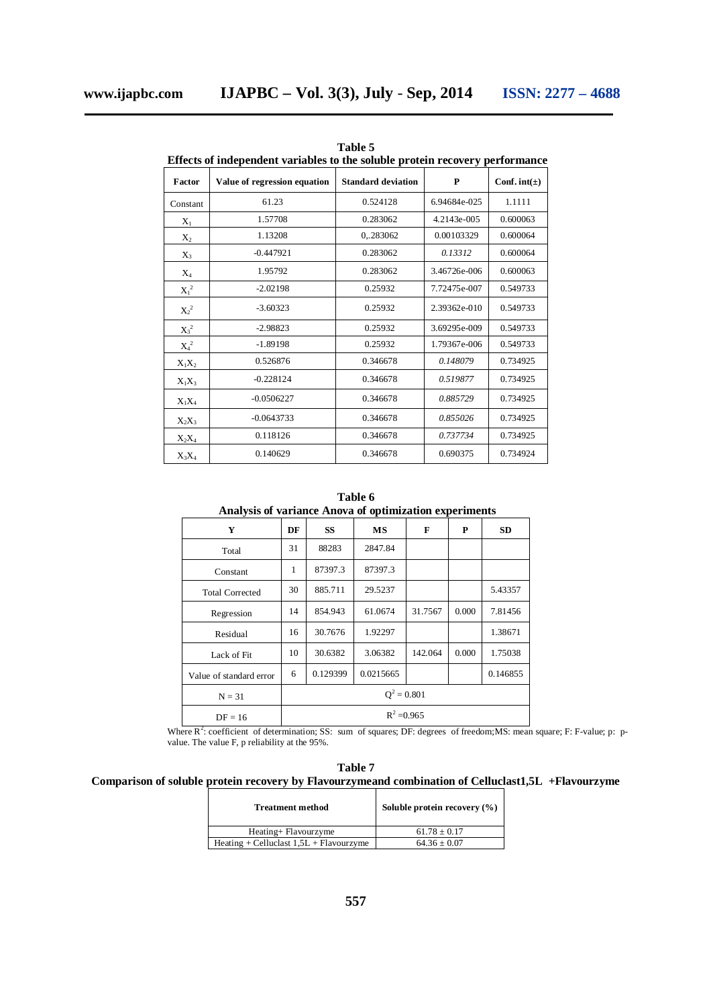$X_3$ 

 $X_4$ 

 $\mathbf{X_1}^2$ 

 $X_2^2$ 

 $X_3^2$ 

 $X_4^2$ 

 $X_1X_2$ 

-0.447921 0.283062 *0.13312* 0.600064

1.95792 0.283062 3.46726e-006 0.600063

<sup>2</sup> -2.02198 0.25932 7.72475e-007 0.549733

<sup>2</sup> -3.60323 0.25932 2.39362e-010 0.549733

<sup>2</sup> -2.98823 0.25932 3.69295e-009 0.549733

<sup>2</sup> -1.89198 0.25932 1.79367e-006 0.549733

0.526876 0.346678 *0.148079* 0.734925

| таше э<br>Effects of independent variables to the soluble protein recovery performance |                              |                           |              |                    |  |  |  |  |  |
|----------------------------------------------------------------------------------------|------------------------------|---------------------------|--------------|--------------------|--|--|--|--|--|
| Factor                                                                                 | Value of regression equation | <b>Standard deviation</b> | P            | Conf. int( $\pm$ ) |  |  |  |  |  |
| Constant                                                                               | 61.23                        | 0.524128                  | 6.94684e-025 | 1.1111             |  |  |  |  |  |
| $\rm X_1$                                                                              | 1.57708                      | 0.283062                  | 4.2143e-005  | 0.600063           |  |  |  |  |  |
| $\Chi_2$                                                                               | 1.13208                      | 0.283062                  | 0.00103329   | 0.600064           |  |  |  |  |  |

**Table 5**

| $X_1X_3$ | $-0.228124$  | 0.346678 | 0.519877 | 0.734925 |
|----------|--------------|----------|----------|----------|
| $X_1X_4$ | $-0.0506227$ | 0.346678 | 0.885729 | 0.734925 |
| $X_2X_3$ | $-0.0643733$ | 0.346678 | 0.855026 | 0.734925 |
| $X_2X_4$ | 0.118126     | 0.346678 | 0.737734 | 0.734925 |
| $X_3X_4$ | 0.140629     | 0.346678 | 0.690375 | 0.734924 |
|          |              |          |          |          |
|          |              |          |          |          |

**Table 6 Analysis of variance Anova of optimization experiments**

| Y                       | DF            | <b>SS</b> | MS        | F       | P     | <b>SD</b> |
|-------------------------|---------------|-----------|-----------|---------|-------|-----------|
| Total                   | 31            | 88283     | 2847.84   |         |       |           |
| Constant                | 1             | 87397.3   | 87397.3   |         |       |           |
| <b>Total Corrected</b>  | 30            | 885.711   | 29.5237   |         |       | 5.43357   |
| Regression              | 14            | 854.943   | 61.0674   | 31.7567 | 0.000 | 7.81456   |
| Residual                | 16            | 30.7676   | 1.92297   |         |       | 1.38671   |
| Lack of Fit             | 10            | 30.6382   | 3.06382   | 142.064 | 0.000 | 1.75038   |
| Value of standard error | 6             | 0.129399  | 0.0215665 |         |       | 0.146855  |
| $N = 31$                | $Q^2 = 0.801$ |           |           |         |       |           |
| $DF = 16$               | $R^2 = 0.965$ |           |           |         |       |           |

Where  $R^2$ : coefficient of determination; SS: sum of squares; DF: degrees of freedom; MS: mean square; F: F-value; p: pvalue. The value F, p reliability at the 95%.

#### **Table 7 Comparison of soluble protein recovery by Flavourzymeand combination of Celluclast1,5L +Flavourzyme**

| <b>Treatment method</b>                   | Soluble protein recovery $(\% )$ |
|-------------------------------------------|----------------------------------|
| Heating+ Flavourzyme                      | $61.78 \pm 0.17$                 |
| Heating + Celluclast $1,5L$ + Flavourzyme | $64.36 + 0.07$                   |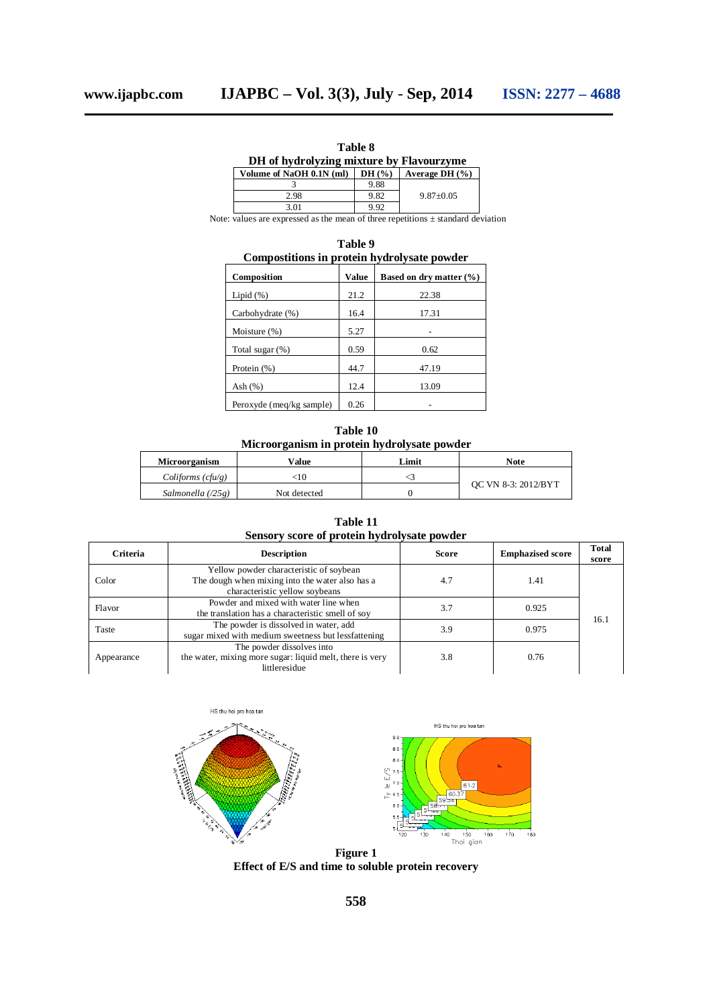| www.ijapbc.con |  |  |  |  |  |  |  |
|----------------|--|--|--|--|--|--|--|
|----------------|--|--|--|--|--|--|--|

| Table 8                                  |       |                    |  |  |  |  |  |
|------------------------------------------|-------|--------------------|--|--|--|--|--|
| DH of hydrolyzing mixture by Flavourzyme |       |                    |  |  |  |  |  |
| Volume of NaOH 0.1N (ml)                 | DH(%) | Average DH $(\% )$ |  |  |  |  |  |
|                                          | 9.88  |                    |  |  |  |  |  |
| 2.98                                     | 9.82  | $9.87 + 0.05$      |  |  |  |  |  |
| 3.01                                     | 9.92  |                    |  |  |  |  |  |

Note: values are expressed as the mean of three repetitions  $\pm$  standard deviation

| Table 9<br>Compostitions in protein hydrolysate powder |       |                             |  |  |  |  |  |
|--------------------------------------------------------|-------|-----------------------------|--|--|--|--|--|
| Composition                                            | Value | Based on dry matter $(\% )$ |  |  |  |  |  |
| Lipid $(\%)$                                           | 21.2  | 22.38                       |  |  |  |  |  |
| Carbohydrate (%)                                       | 16.4  | 17.31                       |  |  |  |  |  |
| Moisture (%)                                           | 5.27  |                             |  |  |  |  |  |
| Total sugar $(\%)$                                     | 0.59  | 0.62                        |  |  |  |  |  |
| Protein $(\%)$                                         | 44.7  | 47.19                       |  |  |  |  |  |
| Ash $(\%)$                                             | 12.4  | 13.09                       |  |  |  |  |  |
| Peroxyde (meq/kg sample)                               | 0.26  |                             |  |  |  |  |  |

| Table 10                                    |  |  |  |  |
|---------------------------------------------|--|--|--|--|
| Microorganism in protein hydrolysate powder |  |  |  |  |

| <b>Microorganism</b> | Value        | Limit | Note                |  |
|----------------------|--------------|-------|---------------------|--|
| $Coliforms$ (cfu/g)  | :10          |       |                     |  |
| Salmonella (/25 g)   | Not detected |       | OC VN 8-3: 2012/BYT |  |

**Table 11 Sensory score of protein hydrolysate powder**

| Criteria   | <b>Description</b>                                                                                                           | <b>Score</b> | <b>Emphazised score</b> | <b>Total</b><br>score  |  |
|------------|------------------------------------------------------------------------------------------------------------------------------|--------------|-------------------------|------------------------|--|
| Color      | Yellow powder characteristic of soybean<br>The dough when mixing into the water also has a<br>characteristic yellow soybeans | 4.7          | 1.41                    | 0.925<br>16.1<br>0.975 |  |
| Flavor     | Powder and mixed with water line when<br>the translation has a characteristic smell of soy                                   | 3.7          |                         |                        |  |
| Taste      | The powder is dissolved in water, add<br>sugar mixed with medium sweetness but lessfattening                                 | 3.9          |                         |                        |  |
| Appearance | The powder dissolves into<br>the water, mixing more sugar: liquid melt, there is very<br>littleresidue                       | 3.8          | 0.76                    |                        |  |





**Figure 1 Effect of E/S and time to soluble protein recovery**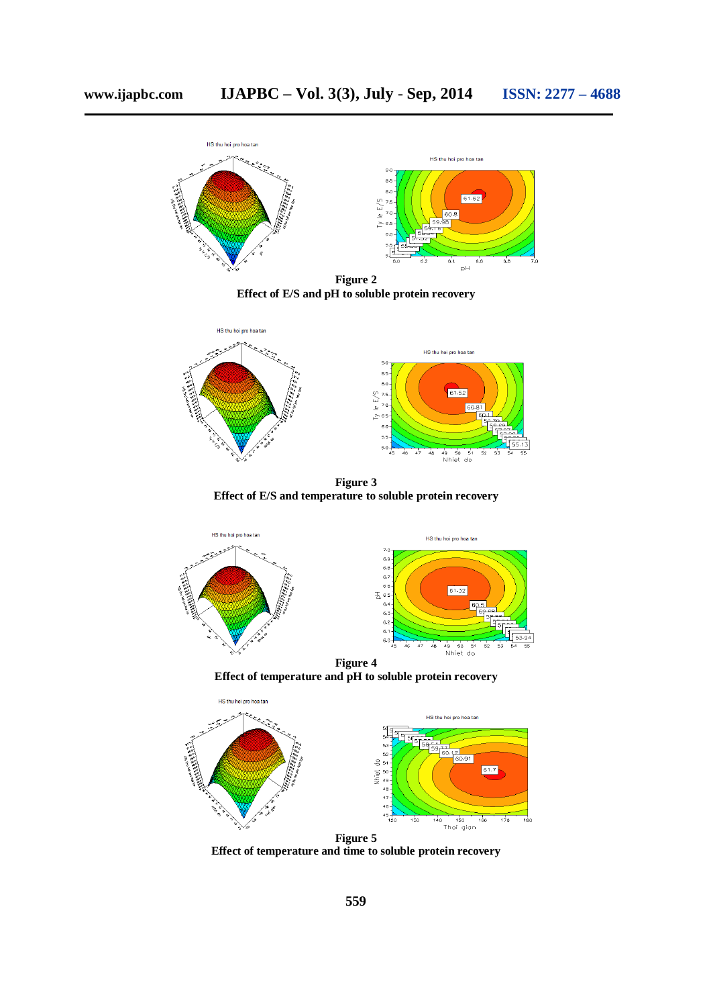

**Figure 2 Effect of E/S and pH to soluble protein recovery**



**Figure 3 Effect of E/S and temperature to soluble protein recovery**



**Effect of temperature and pH to soluble protein recovery**



**Effect of temperature and time to soluble protein recovery**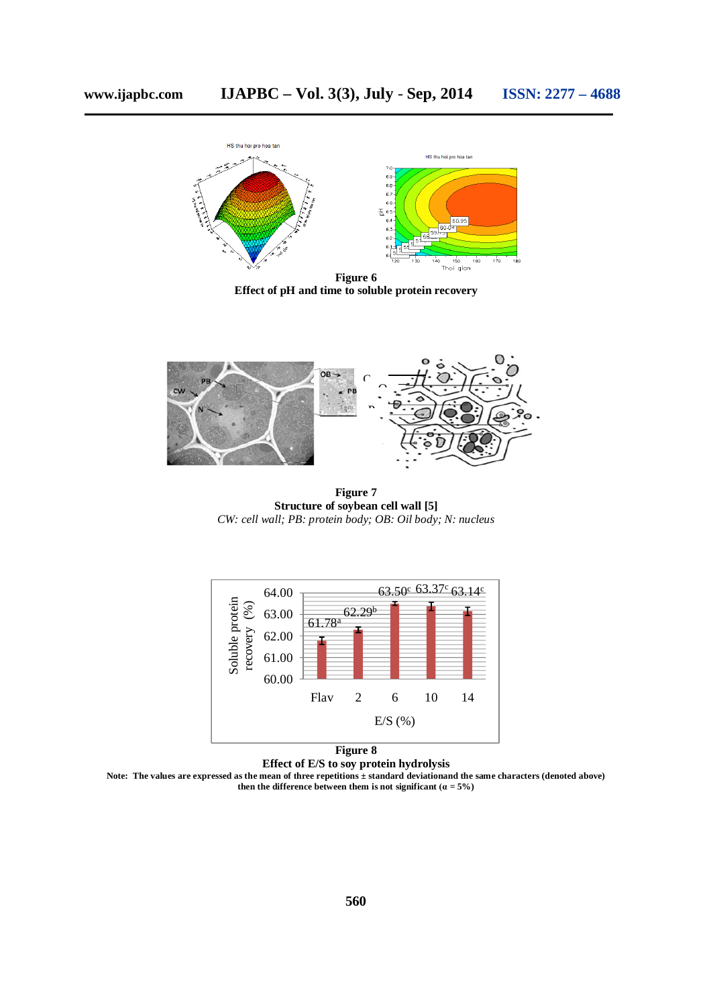

**Effect of pH and time to soluble protein recovery**



**Figure 7 Structure of soybean cell wall [5]** *CW: cell wall; PB: protein body; OB: Oil body; N: nucleus*



**Figure 8**

**Effect of E/S to soy protein hydrolysis**

Note: The values are expressed as the mean of three repetitions ± standard deviationand the same characters (denoted above) **then** the difference between them is not significant  $(a = 5\%)$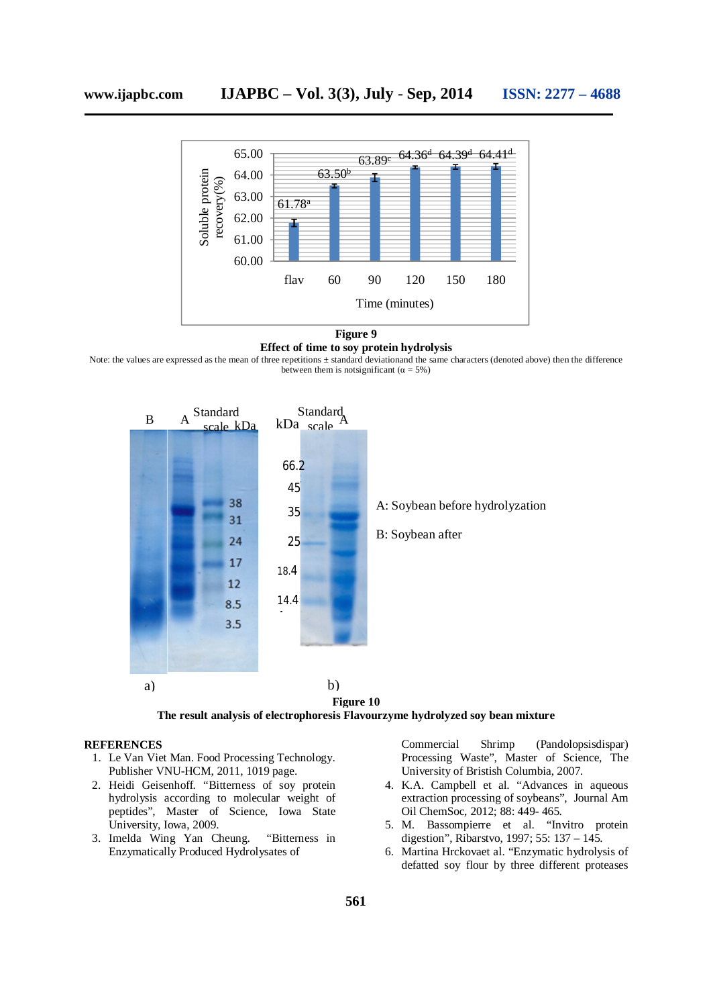

**Figure 9 Effect of time to soy protein hydrolysis**

Note: the values are expressed as the mean of three repetitions ± standard deviationand the same characters (denoted above) then the difference between them is notsignificant ( $\alpha = 5\%$ )



**Figure 10 The result analysis of electrophoresis Flavourzyme hydrolyzed soy bean mixture**

#### **REFERENCES**

- 1. Le Van Viet Man. Food Processing Technology. Publisher VNU-HCM, 2011, 1019 page.
- 2. Heidi Geisenhoff. "Bitterness of soy protein hydrolysis according to molecular weight of peptides", Master of Science, Iowa State University, Iowa, 2009.
- 3. Imelda Wing Yan Cheung. "Bitterness in Enzymatically Produced Hydrolysates of

Commercial Shrimp (Pandolopsisdispar) Processing Waste", Master of Science, The University of Bristish Columbia, 2007.

- 4. K.A. Campbell et al. "Advances in aqueous extraction processing of soybeans", Journal Am Oil ChemSoc, 2012; 88: 449- 465.
- 5. M. Bassompierre et al. "Invitro protein digestion", Ribarstvo, 1997; 55: 137 – 145.
- 6. Martina Hrckovaet al. "Enzymatic hydrolysis of defatted soy flour by three different proteases